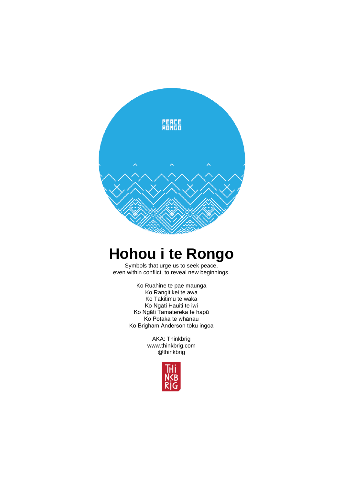

# **Hohou i te Rongo**

Symbols that urge us to seek peace, even within conflict, to reveal new beginnings.

> Ko Ruahine te pae maunga Ko Rangitikei te awa Ko Takitimu te waka Ko Ngāti Hauiti te iwi Ko Ngāti Tamatereka te hapū Ko Potaka te whānau Ko Brigham Anderson tōku ingoa

> > AKA: Thinkbrig www.thinkbrig.com @thinkbrig

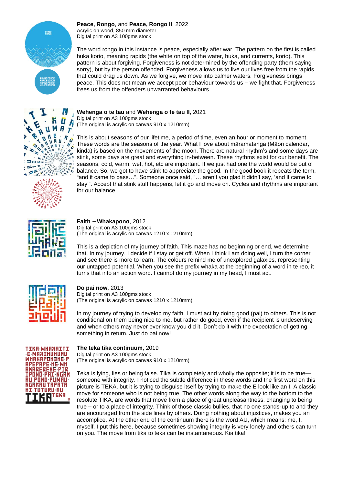

*Peace, Rongo,* and *Peace, Rongo II,* 2022 Acrylic on wood, 850 mm diameter Digital print on A3 100gms stock

The word *rongo* in this instance is peace, especially after war. The pattern on the first is called *huka korio*, meaning rapids (the white on top of the water, *huka,* and currents, *korio*). This pattern is about forgiving. Forgiveness is not determined by the offending party (them saying sorry), but by the person offended. Forgiveness allows us to live our lives free from the rapids that could drag us down. As we forgive, we move into calmer waters. Forgiveness brings peace. This does not mean we accept poor behaviour towards us – we fight that. Forgiveness frees us from the offenders unwarranted behaviours.



*Wehenga o te tau* and *Wehenga o te tau II,* 2021 Digital print on A3 100gms stock

(The original is acrylic on canvas 910 x 1210mm)

This is about seasons of our lifetime, a period of time, even an hour or moment to moment. These words are the seasons of the year. What I love about māramatanga (Māori calendar, kinda) is based on the movements of the moon. There are natural rhythm's and some days are stink, some days are great and everything in-between. These rhythms exist for our benefit. The seasons, cold, warm, wet, hot, etc are important. If we just had one the world would be out of balance. So, we got to have stink to appreciate the good. In the good book it repeats the term, "and it came to pass…". Someone once said, "… aren't you glad it didn't say, 'and it came to stay'". Accept that stink stuff happens, let it go and move on. Cycles and rhythms are important for our balance.



#### *Faith – Whakapono,* 2012 Digital print on A3 100gms stock (The original is acrylic on canvas 1210 x 1210mm)

This is a depiction of my journey of faith. This maze has no beginning or end, we determine that. In my journey, I decide if I stay or get off. When I think I am doing well, I turn the corner and see there is more to learn. The colours remind me of unexplored galaxies, representing our untapped potential. When you see the prefix *whaka* at the beginning of a word in te reo, it turns that into an action word. I cannot do my journey in my head, I must act.



*Do pai now,* 2013 Digital print on A3 100gms stock (The original is acrylic on canvas 1210 x 1210mm)

In my journey of trying to develop my faith, I must act by doing good (*pai*) to others. This is not conditional on them being nice to me, but rather do good, even if the recipient is undeserving and when others may never ever know you did it. Don't do it with the expectation of getting something in return. Just do *pai* now!



## *The teka tika continuum,* 2019

Digital print on A3 100gms stock (The original is acrylic on canvas 910 x 1210mm)

*Teka* is lying, lies or being false. *Tika* is completely and wholly the opposite; it is to be true someone with integrity. I noticed the subtle difference in these words and the first word on this picture is *TEKA*, but it is trying to disguise itself by trying to make the E look like an I. A classic move for someone who is not being true. The other words along the way to the bottom to the resolute *TIKA*, are words that move from a place of great unpleasantness, changing to being true – or to a place of integrity. Think of those classic bullies, that no one stands-up to and they are encouraged from the side lines by others. Doing nothing about injustices, makes you an accomplice. At the other end of the continuum there is the word AU, which means: me, I, myself. I put this here, because sometimes showing integrity is very lonely and others can turn on you. The move from tika to teka can be instantaneous. Kia tika!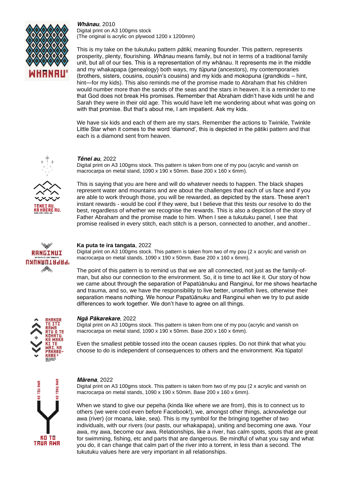

*Whānau,* 2010 Digital print on A3 100gms stock (The original is acrylic on plywood 1200 x 1200mm)

This is my take on the *tukutuku* pattern *pātiki*, meaning flounder. This pattern, represents prosperity, plenty, flourishing. *Whānau* means family, but not in terms of a traditional family unit, but all of our ties. This is a representation of my whānau. It represents me in the middle and my *whakapapa* (genealogy) both ways, my *tūpuna* (ancestors), my contemporaries (brothers, sisters, cousins, cousin's cousins) and my kids and mokopuna (grandkids – hint, hint—for my kids). This also reminds me of the promise made to Abraham that his children would number more than the sands of the seas and the stars in heaven. It is a reminder to me that God does not break His promises. Remember that Abraham didn't have kids until he and Sarah they were in their old age. This would have left me wondering about what was going on with that promise. But that's about me, I am impatient. Ask my kids.

We have six kids and each of them are my stars. Remember the actions to Twinkle, Twinkle Little Star when it comes to the word 'diamond', this is depicted in the pātiki pattern and that each is a diamond sent from heaven.



## *Tēnei au,* 2022

Digital print on A3 100gms stock. This pattern is taken from one of my pou (acrylic and vanish on macrocarpa on metal stand, 1090 x 190 x 50mm. Base 200 x 160 x 6mm).

This is saying that you are here and will do whatever needs to happen. The black shapes represent water and mountains and are about the challenges that each of us face and if you are able to work through those, you will be rewarded, as depicted by the stars. These aren't instant rewards - would be cool if they were, but I believe that this tests our resolve to do the best, regardless of whether we recognise the rewards. This is also a depiction of the story of Father Abraham and the promise made to him. When I see a tukutuku panel, I see that promise realised in every stitch, each stitch is a person, connected to another, and another..



## *Ka puta te ira tangata,* 2022

Digital print on A3 100gms stock. This pattern is taken from two of my pou (2 x acrylic and vanish on macrocarpa on metal stands, 1090 x 190 x 50mm. Base 200 x 160 x 6mm).

The point of this pattern is to remind us that we are all connected, not just as the family-ofman, but also our connection to the environment. So, it is time to act like it. Our story of how we came about through the separation of Papatūānuku and Ranginui, for me shows heartache and trauma, and so, we have the responsibility to live better, unselfish lives, otherwise their separation means nothing. We honour Papatūānuku and Ranginui when we try to put aside differences to work together. We don't have to agree on all things.



#### *Ngā Pākarekare,* 2022

Digital print on A3 100gms stock. This pattern is taken from one of my pou (acrylic and vanish on macrocarpa on metal stand, 1090 x 190 x 50mm. Base 200 x 160 x 6mm).

Even the smallest pebble tossed into the ocean causes ripples. Do not think that what you choose to do is independent of consequences to others and the environment. Kia tūpato!



### *Mārena,* 2022

Digital print on A3 100gms stock. This pattern is taken from two of my pou (2 x acrylic and vanish on macrocarpa on metal stands, 1090 x 190 x 50mm. Base 200 x 160 x 6mm).

When we stand to give our *pepeha* (kinda like where we are from), this is to connect us to others (we were cool even before Facebook!), we, amongst other things, acknowledge our *awa* (river) (or *moana*, lake, sea). This is my symbol for the bringing together of two individuals, with our rivers (our pasts, our whakapapa), uniting and becoming one awa. Your awa, my awa, become our awa. Relationships, like a river, has calm spots, spots that are great for swimming, fishing, etc and parts that are dangerous. Be mindful of what you say and what you do, it can change that calm part of the river into a torrent, in less than a second. The tukutuku values here are very important in all relationships.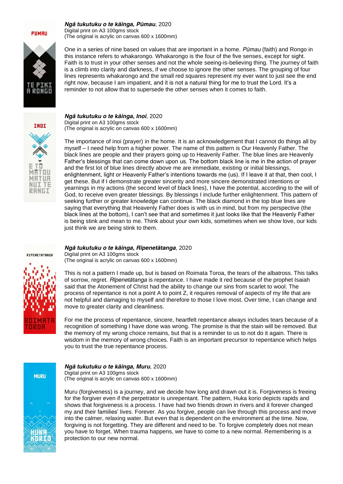#### *Ngā tukutuku o te kāinga, Pūmau,* 2020 Digital print on A3 100gms stock

(The original is acrylic on canvas 600 x 1600mm)

One in a series of nine based on values that are important in a home. *Pūmau* (faith) and *Rongo* in this instance refers to *whakarongo. Whakarongo* is the four of the five senses, except for sight. Faith is to trust in your other senses and not the whole seeing-is-believing thing. The journey of faith is a climb into clarity and darkness, if we choose to ignore the other senses. The grouping of four lines represents *whakarongo* and the small red squares represent my ever want to just see the end right now, because I am impatient, and it is not a natural thing for me to trust the Lord. It's a reminder to not allow that to supersede the other senses when it comes to faith.



MRTOU MRTUR **NUITE RANGI** 

#### *Ngā tukutuku o te kāinga, Inoi,* 2020 Digital print on A3 100gms stock (The original is acrylic on canvas 600 x 1600mm)

The importance of *inoi* (prayer) in the home. It is an acknowledgement that I cannot do things all by myself – I need help from a higher power. The name of this pattern is Our Heavenly Father. The black lines are people and their prayers going up to Heavenly Father. The blue lines are Heavenly Father's blessings that can come down upon us. The bottom black line is me in the action of prayer and the first lot of blue lines directly above me are immediate, existing or initial blessings, enlightenment, light or Heavenly Father's intentions towards me (us). If I leave it at that, then cool, I get these. But if I demonstrate greater sincerity and more sincere demonstrated intentions or yearnings in my actions (the second level of black lines), I have the potential, according to the will of God, to receive even greater blessings. By blessings I include further enlightenment. This pattern of seeking further or greater knowledge can continue. The black diamond in the top blue lines are saying that everything that Heavenly Father does is with us in mind, but from my perspective (the black lines at the bottom), I can't see that and sometimes it just looks like that the Heavenly Father is being stink and mean to me. Think about your own kids, sometimes when we show love, our kids just think we are being stink to them.



## *Ngā tukutuku o te kāinga, Rīpenetātanga,* 2020

Digital print on A3 100gms stock (The original is acrylic on canvas 600 x 1600mm)

This is not a pattern I made up, but is based on *Roimata Toroa,* the tears of the albatross. This talks of sorrow, regret. *Rīpenetātanga* is repentance. I have made it red because of the prophet Isaiah said that the Atonement of Christ had the ability to change our sins from scarlet to wool. The process of repentance is not a point A to point Z, it requires removal of aspects of my life that are not helpful and damaging to myself and therefore to those I love most. Over time, I can change and move to greater clarity and cleanliness.

For me the process of repentance, sincere, heartfelt repentance always includes tears because of a recognition of something I have done was wrong. The promise is that the stain will be removed. But the memory of my wrong choice remains, but that is a reminder to us to not do it again. There is wisdom in the memory of wrong choices. Faith is an important precursor to repentance which helps you to trust the true repentance process.



# *Ngā tukutuku o te kāinga, Muru,* 2020

Digital print on A3 100gms stock (The original is acrylic on canvas 600 x 1600mm)

*Muru* (forgiveness) is a journey, and we decide how long and drawn out it is. Forgiveness is freeing for the forgiver even if the perpetrator is unrepentant. The pattern, *Huka korio* depicts rapids and shows that forgiveness is a process. I have had two friends drown in rivers and it forever changed my and their families' lives. Forever. As you forgive, people can live through this process and move into the calmer, relaxing water. But even that is dependent on the environment at the time. Now, forgiving is not forgetting. They are different and need to be. To forgive completely does not mean you have to forget. When trauma happens, we have to come to a new normal. Remembering is a protection to our new normal.

**PUMRU**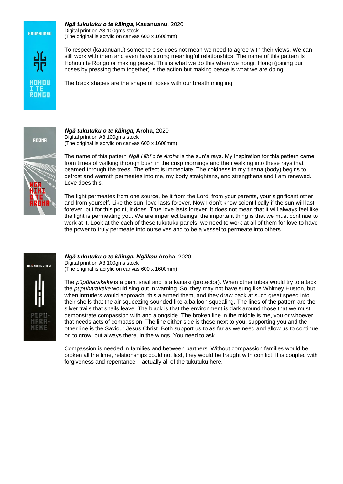**KRURNURNU** 

HOHOL

#### *Ngā tukutuku o te kāinga, Kauanuanu,* 2020 Digital print on A3 100gms stock

(The original is acrylic on canvas 600 x 1600mm)

To respect (*kauanuanu*) someone else does not mean we need to agree with their views. We can still work with them and even have strong meaningful relationships. The name of this pattern is *Hohou i te Rongo* or making peace. This is what we do this when we hongi. Hongi (joining our noses by pressing them together) is the action but making peace is what we are doing.

The black shapes are the shape of noses with our breath mingling.

RROHA

*Ngā tukutuku o te kāinga, Aroha,* 2020 Digital print on A3 100gms stock (The original is acrylic on canvas 600 x 1600mm)

The name of this pattern *Ngā Hīhī o te Aroha* is the sun's rays. My inspiration for this pattern came from times of walking through bush in the crisp mornings and then walking into these rays that beamed through the trees. The effect is immediate. The coldness in my *tinana* (body) begins to defrost and warmth permeates into me, my body straightens, and strengthens and I am renewed. Love does this.

The light permeates from one source, be it from the Lord, from your parents, your significant other and from yourself. Like the sun, love lasts forever. Now I don't know scientifically if the sun will last forever, but for this point, it does. True love lasts forever. It does not mean that it will always feel like the light is permeating you. We are imperfect beings; the important thing is that we must continue to work at it. Look at the each of these tukutuku panels, we need to work at all of them for love to have the power to truly permeate into ourselves and to be a vessel to permeate into others.



*Ngā tukutuku o te kāinga, Ngākau Aroha,* 2020 Digital print on A3 100gms stock (The original is acrylic on canvas 600 x 1600mm)

The *pūpūharakeke* is a giant snail and is a *kaitiaki* (protector). When other tribes would try to attack the *pūpūharakeke* would sing out in warning. So, they may not have sung like Whitney Huston, but when intruders would approach, this alarmed them, and they draw back at such great speed into their shells that the air squeezing sounded like a balloon squealing. The lines of the pattern are the silver trails that snails leave. The black is that the environment is dark around those that we must demonstrate compassion with and alongside. The broken line in the middle is me, you or whoever, that needs acts of compassion. The line either side is those next to you, supporting you and the other line is the Saviour Jesus Christ. Both support us to as far as we need and allow us to continue on to grow, but always there, in the wings. You need to ask.

Compassion is needed in families and between partners. Without compassion families would be broken all the time, relationships could not last, they would be fraught with conflict. It is coupled with forgiveness and repentance – actually all of the tukutuku here.